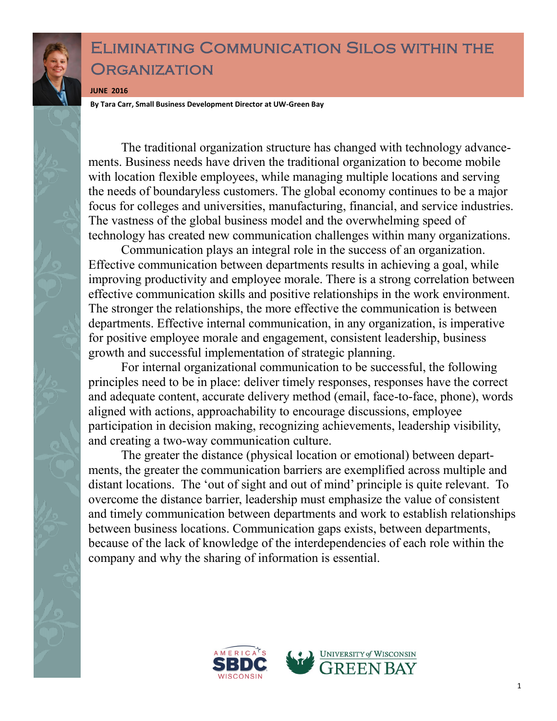## Eliminating Communication Silos within the **ORGANIZATION**

**JUNE 2016**

**By Tara Carr, Small Business Development Director at UW-Green Bay**

The traditional organization structure has changed with technology advancements. Business needs have driven the traditional organization to become mobile with location flexible employees, while managing multiple locations and serving the needs of boundaryless customers. The global economy continues to be a major focus for colleges and universities, manufacturing, financial, and service industries. The vastness of the global business model and the overwhelming speed of technology has created new communication challenges within many organizations.

Communication plays an integral role in the success of an organization. Effective communication between departments results in achieving a goal, while improving productivity and employee morale. There is a strong correlation between effective communication skills and positive relationships in the work environment. The stronger the relationships, the more effective the communication is between departments. Effective internal communication, in any organization, is imperative for positive employee morale and engagement, consistent leadership, business growth and successful implementation of strategic planning.

For internal organizational communication to be successful, the following principles need to be in place: deliver timely responses, responses have the correct and adequate content, accurate delivery method (email, face-to-face, phone), words aligned with actions, approachability to encourage discussions, employee participation in decision making, recognizing achievements, leadership visibility, and creating a two-way communication culture.

The greater the distance (physical location or emotional) between departments, the greater the communication barriers are exemplified across multiple and distant locations. The 'out of sight and out of mind' principle is quite relevant. To overcome the distance barrier, leadership must emphasize the value of consistent and timely communication between departments and work to establish relationships between business locations. Communication gaps exists, between departments, because of the lack of knowledge of the interdependencies of each role within the company and why the sharing of information is essential.